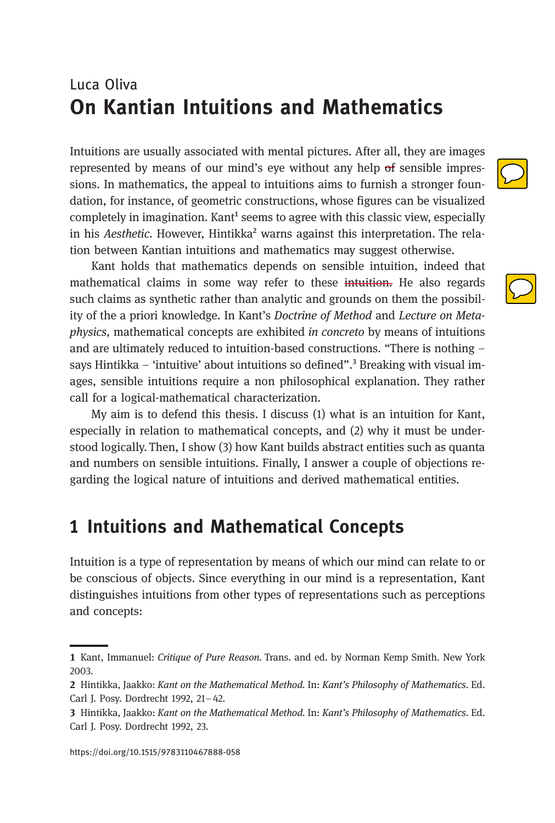# Luca Oliva On Kantian Intuitions and Mathematics

Intuitions are usually associated with mental pictures. After all, they are images represented by means of our mind's eye without any help of sensible impressions. In mathematics, the appeal to intuitions aims to furnish a stronger foundation, for instance, of geometric constructions, whose figures can be visualized completely in imagination. Kant<sup>1</sup> seems to agree with this classic view, especially in his Aesthetic. However, Hintikka<sup>2</sup> warns against this interpretation. The relation between Kantian intuitions and mathematics may suggest otherwise.

Kant holds that mathematics depends on sensible intuition, indeed that mathematical claims in some way refer to these intuition. He also regards such claims as synthetic rather than analytic and grounds on them the possibility of the a priori knowledge. In Kant's Doctrine of Method and Lecture on Metaphysics, mathematical concepts are exhibited in concreto by means of intuitions and are ultimately reduced to intuition-based constructions. "There is nothing – says Hintikka – 'intuitive' about intuitions so defined".<sup>3</sup> Breaking with visual images, sensible intuitions require a non philosophical explanation. They rather call for a logical-mathematical characterization.

My aim is to defend this thesis. I discuss (1) what is an intuition for Kant, especially in relation to mathematical concepts, and (2) why it must be understood logically. Then, I show (3) how Kant builds abstract entities such as quanta and numbers on sensible intuitions. Finally, I answer a couple of objections regarding the logical nature of intuitions and derived mathematical entities.

### 1 Intuitions and Mathematical Concepts

Intuition is a type of representation by means of which our mind can relate to or be conscious of objects. Since everything in our mind is a representation, Kant distinguishes intuitions from other types of representations such as perceptions and concepts:





<sup>1</sup> Kant, Immanuel: Critique of Pure Reason. Trans. and ed. by Norman Kemp Smith. New York 2003.

<sup>2</sup> Hintikka, Jaakko: Kant on the Mathematical Method. In: Kant's Philosophy of Mathematics. Ed. Carl J. Posy. Dordrecht 1992, 21–42.

<sup>3</sup> Hintikka, Jaakko: Kant on the Mathematical Method. In: Kant's Philosophy of Mathematics. Ed. Carl J. Posy. Dordrecht 1992, 23.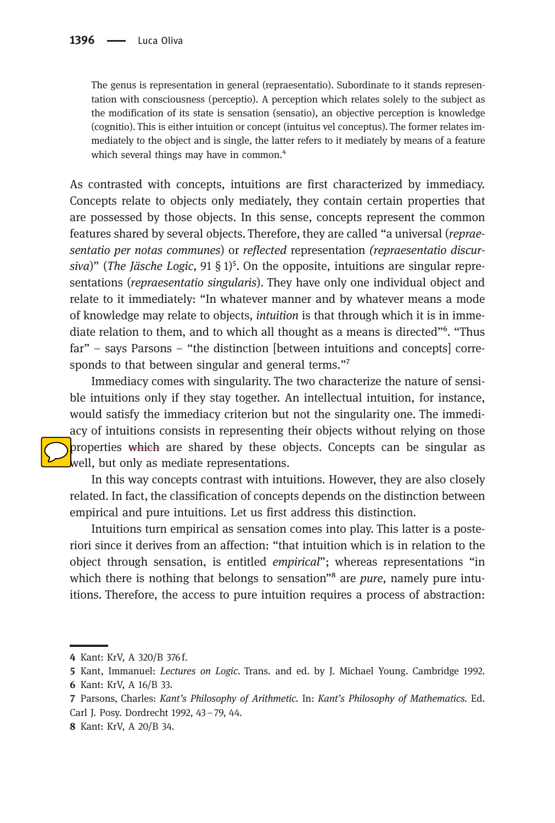The genus is representation in general (repraesentatio). Subordinate to it stands representation with consciousness (perceptio). A perception which relates solely to the subject as the modification of its state is sensation (sensatio), an objective perception is knowledge (cognitio). This is either intuition or concept (intuitus vel conceptus). The former relates immediately to the object and is single, the latter refers to it mediately by means of a feature which several things may have in common.<sup>4</sup>

As contrasted with concepts, intuitions are first characterized by immediacy. Concepts relate to objects only mediately, they contain certain properties that are possessed by those objects. In this sense, concepts represent the common features shared by several objects. Therefore, they are called "a universal (repraesentatio per notas communes) or reflected representation (repraesentatio discursiva)" (The Jäsche Logic, 91 § 1)<sup>5</sup>. On the opposite, intuitions are singular representations (repraesentatio singularis). They have only one individual object and relate to it immediately: "In whatever manner and by whatever means a mode of knowledge may relate to objects, intuition is that through which it is in immediate relation to them, and to which all thought as a means is directed"<sup>6</sup>. "Thus far" – says Parsons – "the distinction [between intuitions and concepts] corresponds to that between singular and general terms."<sup>7</sup>

Immediacy comes with singularity. The two characterize the nature of sensible intuitions only if they stay together. An intellectual intuition, for instance, would satisfy the immediacy criterion but not the singularity one. The immediacy of intuitions consists in representing their objects without relying on those properties which are shared by these objects. Concepts can be singular as well, but only as mediate representations.

In this way concepts contrast with intuitions. However, they are also closely related. In fact, the classification of concepts depends on the distinction between empirical and pure intuitions. Let us first address this distinction.

Intuitions turn empirical as sensation comes into play. This latter is a posteriori since it derives from an affection: "that intuition which is in relation to the object through sensation, is entitled *empirical*"; whereas representations "in which there is nothing that belongs to sensation" $\delta$  are *pure*, namely pure intuitions. Therefore, the access to pure intuition requires a process of abstraction:

Kant: KrV, A 320/B 376 f.

<sup>5</sup> Kant, Immanuel: *Lectures on Logic*. Trans. and ed. by J. Michael Young. Cambridge 1992. 6 Kant: KrV, A 16/B 33.

Parsons, Charles: Kant's Philosophy of Arithmetic. In: Kant's Philosophy of Mathematics. Ed. Carl J. Posy. Dordrecht 1992, 43–79, 44.

<sup>8</sup> Kant: KrV, A 20/B 34.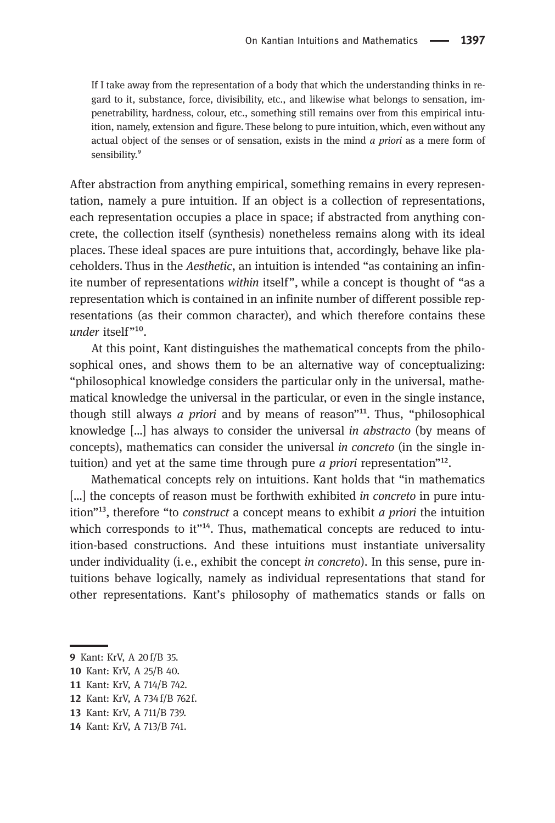If I take away from the representation of a body that which the understanding thinks in regard to it, substance, force, divisibility, etc., and likewise what belongs to sensation, impenetrability, hardness, colour, etc., something still remains over from this empirical intuition, namely, extension and figure. These belong to pure intuition, which, even without any actual object of the senses or of sensation, exists in the mind a priori as a mere form of sensibility.<sup>9</sup>

After abstraction from anything empirical, something remains in every representation, namely a pure intuition. If an object is a collection of representations, each representation occupies a place in space; if abstracted from anything concrete, the collection itself (synthesis) nonetheless remains along with its ideal places. These ideal spaces are pure intuitions that, accordingly, behave like placeholders. Thus in the Aesthetic, an intuition is intended "as containing an infinite number of representations within itself", while a concept is thought of "as a representation which is contained in an infinite number of different possible representations (as their common character), and which therefore contains these under itself"<sup>10</sup>.

At this point, Kant distinguishes the mathematical concepts from the philosophical ones, and shows them to be an alternative way of conceptualizing: "philosophical knowledge considers the particular only in the universal, mathematical knowledge the universal in the particular, or even in the single instance, though still always *a priori* and by means of reason<sup>"11</sup>. Thus, "philosophical knowledge […] has always to consider the universal in abstracto (by means of concepts), mathematics can consider the universal in concreto (in the single intuition) and yet at the same time through pure *a priori* representation<sup>"12</sup>.

Mathematical concepts rely on intuitions. Kant holds that "in mathematics [...] the concepts of reason must be forthwith exhibited *in concreto* in pure intuition"<sup>13</sup>, therefore "to *construct* a concept means to exhibit *a priori* the intuition which corresponds to it $^{\prime\prime}$ <sup>14</sup>. Thus, mathematical concepts are reduced to intuition-based constructions. And these intuitions must instantiate universality under individuality (i.e., exhibit the concept in *concreto*). In this sense, pure intuitions behave logically, namely as individual representations that stand for other representations. Kant's philosophy of mathematics stands or falls on

<sup>9</sup> Kant: KrV, A 20 f/B 35.

<sup>10</sup> Kant: KrV, A 25/B 40.

<sup>11</sup> Kant: KrV, A 714/B 742.

<sup>12</sup> Kant: KrV, A 734 f/B 762 f.

<sup>13</sup> Kant: KrV, A 711/B 739.

<sup>14</sup> Kant: KrV, A 713/B 741.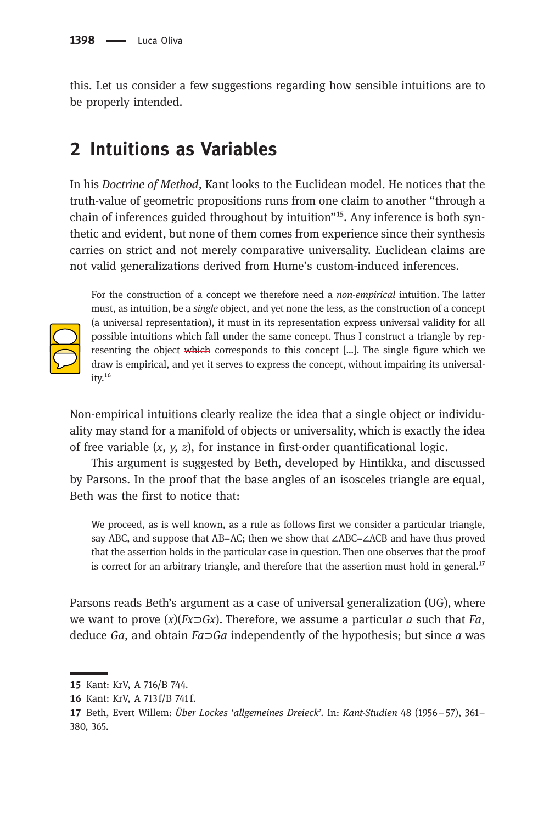this. Let us consider a few suggestions regarding how sensible intuitions are to be properly intended.

## 2 Intuitions as Variables

In his Doctrine of Method, Kant looks to the Euclidean model. He notices that the truth-value of geometric propositions runs from one claim to another "through a chain of inferences guided throughout by intuition $1.5$ . Any inference is both synthetic and evident, but none of them comes from experience since their synthesis carries on strict and not merely comparative universality. Euclidean claims are not valid generalizations derived from Hume's custom-induced inferences.



For the construction of a concept we therefore need a non-empirical intuition. The latter must, as intuition, be a single object, and yet none the less, as the construction of a concept (a universal representation), it must in its representation express universal validity for all possible intuitions which fall under the same concept. Thus I construct a triangle by representing the object which corresponds to this concept […]. The single figure which we draw is empirical, and yet it serves to express the concept, without impairing its universal $itv.<sup>16</sup>$ 

Non-empirical intuitions clearly realize the idea that a single object or individuality may stand for a manifold of objects or universality, which is exactly the idea of free variable  $(x, y, z)$ , for instance in first-order quantificational logic.

This argument is suggested by Beth, developed by Hintikka, and discussed by Parsons. In the proof that the base angles of an isosceles triangle are equal, Beth was the first to notice that:

We proceed, as is well known, as a rule as follows first we consider a particular triangle, say ABC, and suppose that AB=AC; then we show that ∠ABC=∠ACB and have thus proved that the assertion holds in the particular case in question. Then one observes that the proof is correct for an arbitrary triangle, and therefore that the assertion must hold in general. $^{\text{17}}$ 

Parsons reads Beth's argument as a case of universal generalization (UG), where we want to prove  $(x)(Fx\supset Gx)$ . Therefore, we assume a particular a such that Fa, deduce Ga, and obtain  $Fa>Ga$  independently of the hypothesis; but since a was

<sup>15</sup> Kant: KrV, A 716/B 744.

<sup>16</sup> Kant: KrV, A 713 f/B 741 f.

Beth, Evert Willem: Über Lockes 'allgemeines Dreieck'. In: Kant-Studien 48 (1956–57), 361– 380, 365.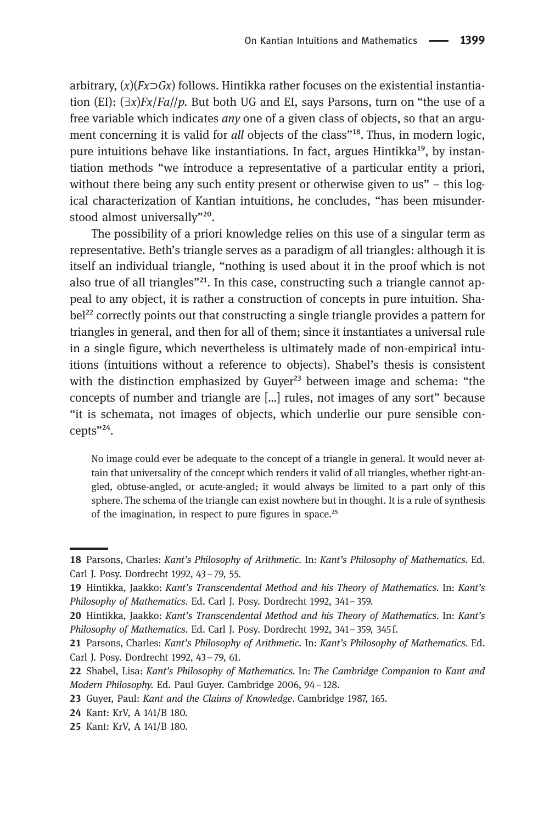arbitrary,  $(x)(Fx)$  follows. Hintikka rather focuses on the existential instantiation (EI):  $(\exists x) Fx/Fa//p$ . But both UG and EI, says Parsons, turn on "the use of a free variable which indicates any one of a given class of objects, so that an argument concerning it is valid for all objects of the class"<sup>18</sup>. Thus, in modern logic, pure intuitions behave like instantiations. In fact, argues Hintikka<sup>19</sup>, by instantiation methods "we introduce a representative of a particular entity a priori, without there being any such entity present or otherwise given to us" – this logical characterization of Kantian intuitions, he concludes, "has been misunderstood almost universally"<sup>20</sup>.

The possibility of a priori knowledge relies on this use of a singular term as representative. Beth's triangle serves as a paradigm of all triangles: although it is itself an individual triangle, "nothing is used about it in the proof which is not also true of all triangles"<sup>21</sup>. In this case, constructing such a triangle cannot appeal to any object, it is rather a construction of concepts in pure intuition. Shabel<sup>22</sup> correctly points out that constructing a single triangle provides a pattern for triangles in general, and then for all of them; since it instantiates a universal rule in a single figure, which nevertheless is ultimately made of non-empirical intuitions (intuitions without a reference to objects). Shabel's thesis is consistent with the distinction emphasized by Guyer<sup>23</sup> between image and schema: "the concepts of number and triangle are […] rules, not images of any sort" because "it is schemata, not images of objects, which underlie our pure sensible concepts"<sup>24</sup>.

No image could ever be adequate to the concept of a triangle in general. It would never attain that universality of the concept which renders it valid of all triangles, whether right-angled, obtuse-angled, or acute-angled; it would always be limited to a part only of this sphere. The schema of the triangle can exist nowhere but in thought. It is a rule of synthesis of the imagination, in respect to pure figures in space.<sup>25</sup>

<sup>18</sup> Parsons, Charles: Kant's Philosophy of Arithmetic. In: Kant's Philosophy of Mathematics. Ed. Carl J. Posy. Dordrecht 1992, 43–79, 55.

<sup>19</sup> Hintikka, Jaakko: Kant's Transcendental Method and his Theory of Mathematics. In: Kant's Philosophy of Mathematics. Ed. Carl J. Posy. Dordrecht 1992, 341–359.

<sup>20</sup> Hintikka, Jaakko: Kant's Transcendental Method and his Theory of Mathematics. In: Kant's Philosophy of Mathematics. Ed. Carl J. Posy. Dordrecht 1992, 341-359, 345f.

<sup>21</sup> Parsons, Charles: Kant's Philosophy of Arithmetic. In: Kant's Philosophy of Mathematics. Ed. Carl J. Posy. Dordrecht 1992, 43–79, 61.

<sup>22</sup> Shabel, Lisa: Kant's Philosophy of Mathematics. In: The Cambridge Companion to Kant and Modern Philosophy. Ed. Paul Guyer. Cambridge 2006, 94–128.

<sup>23</sup> Guyer, Paul: Kant and the Claims of Knowledge. Cambridge 1987, 165.

<sup>24</sup> Kant: KrV, A 141/B 180.

<sup>25</sup> Kant: KrV, A 141/B 180.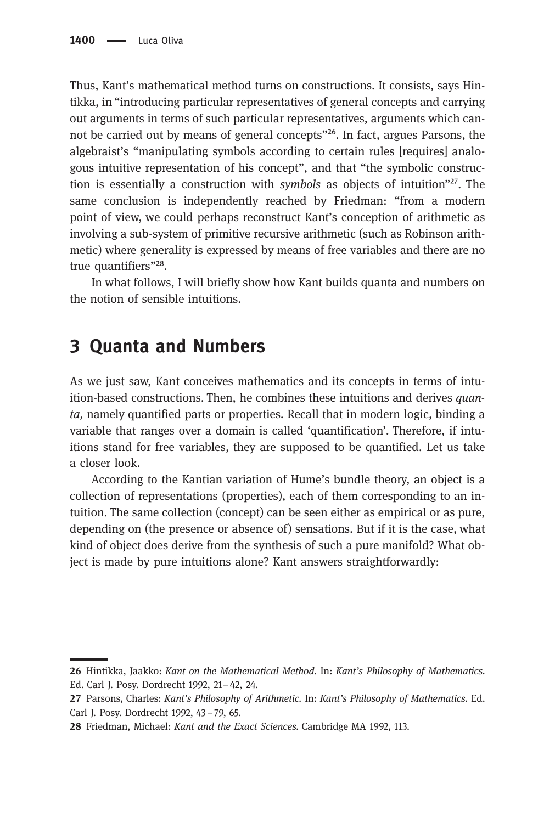Thus, Kant's mathematical method turns on constructions. It consists, says Hintikka, in "introducing particular representatives of general concepts and carrying out arguments in terms of such particular representatives, arguments which cannot be carried out by means of general concepts"<sup>26</sup>. In fact, argues Parsons, the algebraist's "manipulating symbols according to certain rules [requires] analogous intuitive representation of his concept", and that "the symbolic construction is essentially a construction with *symbols* as objects of intuition"<sup>27</sup>. The same conclusion is independently reached by Friedman: "from a modern point of view, we could perhaps reconstruct Kant's conception of arithmetic as involving a sub-system of primitive recursive arithmetic (such as Robinson arithmetic) where generality is expressed by means of free variables and there are no true quantifiers"<sup>28</sup>.

In what follows, I will briefly show how Kant builds quanta and numbers on the notion of sensible intuitions.

#### 3 Quanta and Numbers

As we just saw, Kant conceives mathematics and its concepts in terms of intuition-based constructions. Then, he combines these intuitions and derives quanta, namely quantified parts or properties. Recall that in modern logic, binding a variable that ranges over a domain is called 'quantification'. Therefore, if intuitions stand for free variables, they are supposed to be quantified. Let us take a closer look.

According to the Kantian variation of Hume's bundle theory, an object is a collection of representations (properties), each of them corresponding to an intuition. The same collection (concept) can be seen either as empirical or as pure, depending on (the presence or absence of) sensations. But if it is the case, what kind of object does derive from the synthesis of such a pure manifold? What object is made by pure intuitions alone? Kant answers straightforwardly:

<sup>26</sup> Hintikka, Jaakko: Kant on the Mathematical Method. In: Kant's Philosophy of Mathematics. Ed. Carl J. Posy. Dordrecht 1992, 21–42, 24.

<sup>27</sup> Parsons, Charles: Kant's Philosophy of Arithmetic. In: Kant's Philosophy of Mathematics. Ed. Carl J. Posy. Dordrecht 1992, 43–79, 65.

<sup>28</sup> Friedman, Michael: Kant and the Exact Sciences. Cambridge MA 1992, 113.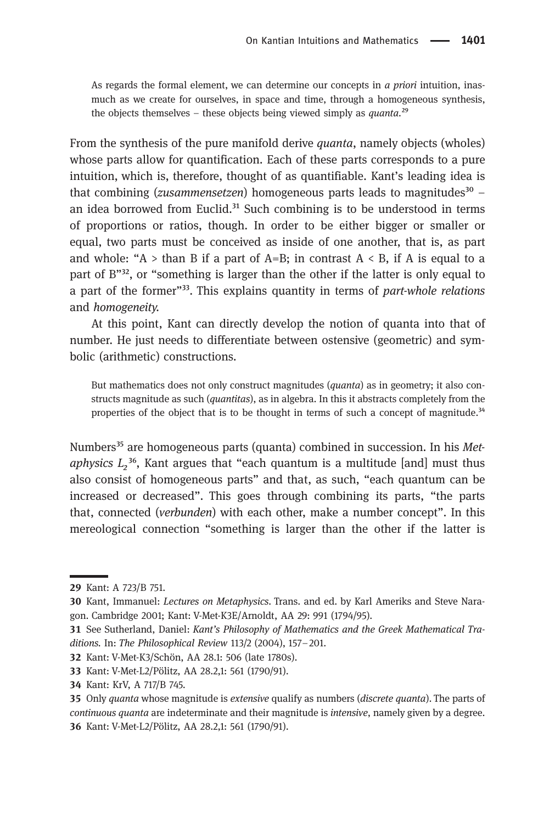As regards the formal element, we can determine our concepts in  $a$  priori intuition, inasmuch as we create for ourselves, in space and time, through a homogeneous synthesis, the objects themselves – these objects being viewed simply as *quanta*.<sup>29</sup>

From the synthesis of the pure manifold derive *quanta*, namely objects (wholes) whose parts allow for quantification. Each of these parts corresponds to a pure intuition, which is, therefore, thought of as quantifiable. Kant's leading idea is that combining (*zusammensetzen*) homogeneous parts leads to magnitudes<sup>30</sup> – an idea borrowed from Euclid. $31$  Such combining is to be understood in terms of proportions or ratios, though. In order to be either bigger or smaller or equal, two parts must be conceived as inside of one another, that is, as part and whole: "A  $>$  than B if a part of A=B; in contrast A  $\lt$  B, if A is equal to a part of  $B^{32}$ , or "something is larger than the other if the latter is only equal to a part of the former"<sup>33</sup>. This explains quantity in terms of *part-whole relations* and homogeneity.

At this point, Kant can directly develop the notion of quanta into that of number. He just needs to differentiate between ostensive (geometric) and symbolic (arithmetic) constructions.

But mathematics does not only construct magnitudes (quanta) as in geometry; it also constructs magnitude as such (quantitas), as in algebra. In this it abstracts completely from the properties of the object that is to be thought in terms of such a concept of magnitude.<sup>34</sup>

Numbers<sup>35</sup> are homogeneous parts (quanta) combined in succession. In his Met*aphysics*  $L_2^{36}$ , Kant argues that "each quantum is a multitude [and] must thus also consist of homogeneous parts" and that, as such, "each quantum can be increased or decreased". This goes through combining its parts, "the parts that, connected (verbunden) with each other, make a number concept". In this mereological connection "something is larger than the other if the latter is

<sup>29</sup> Kant: A 723/B 751.

<sup>30</sup> Kant, Immanuel: Lectures on Metaphysics. Trans. and ed. by Karl Ameriks and Steve Naragon. Cambridge 2001; Kant: V-Met-K3E/Arnoldt, AA 29: 991 (1794/95).

<sup>31</sup> See Sutherland, Daniel: Kant's Philosophy of Mathematics and the Greek Mathematical Traditions. In: The Philosophical Review 113/2 (2004), 157–201.

<sup>32</sup> Kant: V-Met-K3/Schön, AA 28.1: 506 (late 1780s).

Kant: V-Met-L2/Pölitz, AA 28.2,1: 561 (1790/91).

<sup>34</sup> Kant: KrV, A 717/B 745.

<sup>35</sup> Only quanta whose magnitude is extensive qualify as numbers (discrete quanta). The parts of continuous quanta are indeterminate and their magnitude is intensive, namely given by a degree. Kant: V-Met-L2/Pölitz, AA 28.2,1: 561 (1790/91).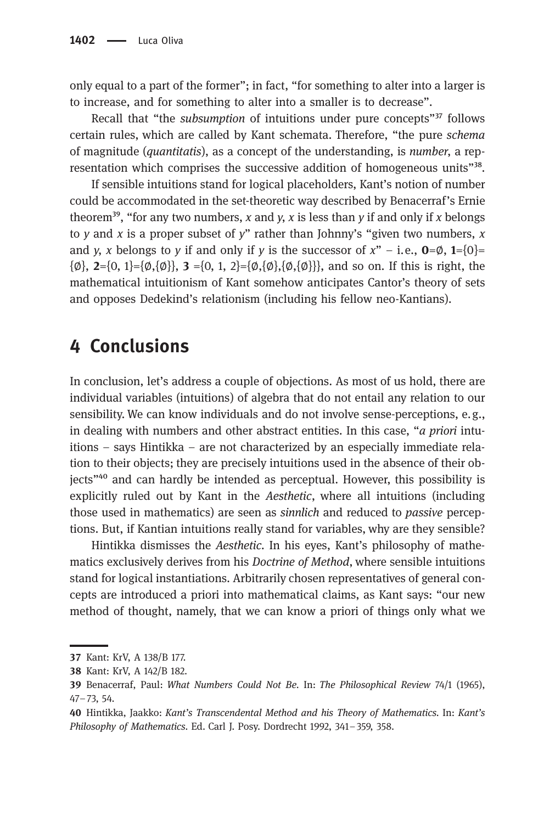only equal to a part of the former"; in fact, "for something to alter into a larger is to increase, and for something to alter into a smaller is to decrease".

Recall that "the *subsumption* of intuitions under pure concepts"<sup>37</sup> follows certain rules, which are called by Kant schemata. Therefore, "the pure schema of magnitude (quantitatis), as a concept of the understanding, is number, a representation which comprises the successive addition of homogeneous units"<sup>38</sup>.

If sensible intuitions stand for logical placeholders, Kant's notion of number could be accommodated in the set-theoretic way described by Benacerraf's Ernie theorem<sup>39</sup>, "for any two numbers, x and y, x is less than y if and only if x belongs to y and x is a proper subset of y" rather than Johnny's "given two numbers,  $x$ and y, x belongs to y if and only if y is the successor of  $x'' - i.e., 0 = \emptyset, 1 = \{0\} =$  $\{\emptyset\}, 2=\{0, 1\}=\{\emptyset, \{\emptyset\}\}, 3 = \{0, 1, 2\}=\{\emptyset, \{\emptyset\}, \{\emptyset, \{\emptyset\}\}\},$  and so on. If this is right, the mathematical intuitionism of Kant somehow anticipates Cantor's theory of sets and opposes Dedekind's relationism (including his fellow neo-Kantians).

### 4 Conclusions

In conclusion, let's address a couple of objections. As most of us hold, there are individual variables (intuitions) of algebra that do not entail any relation to our sensibility. We can know individuals and do not involve sense-perceptions, e. g., in dealing with numbers and other abstract entities. In this case, "a priori intuitions – says Hintikka – are not characterized by an especially immediate relation to their objects; they are precisely intuitions used in the absence of their objects"<sup>40</sup> and can hardly be intended as perceptual. However, this possibility is explicitly ruled out by Kant in the Aesthetic, where all intuitions (including those used in mathematics) are seen as *sinnlich* and reduced to *passive* perceptions. But, if Kantian intuitions really stand for variables, why are they sensible?

Hintikka dismisses the Aesthetic. In his eyes, Kant's philosophy of mathematics exclusively derives from his Doctrine of Method, where sensible intuitions stand for logical instantiations. Arbitrarily chosen representatives of general concepts are introduced a priori into mathematical claims, as Kant says: "our new method of thought, namely, that we can know a priori of things only what we

<sup>37</sup> Kant: KrV, A 138/B 177.

<sup>38</sup> Kant: KrV, A 142/B 182.

<sup>39</sup> Benacerraf, Paul: What Numbers Could Not Be. In: The Philosophical Review 74/1 (1965), 47–73, 54.

<sup>40</sup> Hintikka, Jaakko: Kant's Transcendental Method and his Theory of Mathematics. In: Kant's Philosophy of Mathematics. Ed. Carl J. Posy. Dordrecht 1992, 341–359, 358.